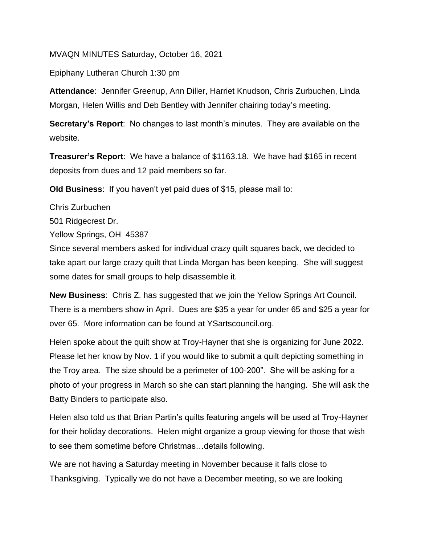## MVAQN MINUTES Saturday, October 16, 2021

Epiphany Lutheran Church 1:30 pm

**Attendance**: Jennifer Greenup, Ann Diller, Harriet Knudson, Chris Zurbuchen, Linda Morgan, Helen Willis and Deb Bentley with Jennifer chairing today's meeting.

**Secretary's Report**: No changes to last month's minutes. They are available on the website.

**Treasurer's Report**: We have a balance of \$1163.18. We have had \$165 in recent deposits from dues and 12 paid members so far.

**Old Business**: If you haven't yet paid dues of \$15, please mail to:

Chris Zurbuchen

501 Ridgecrest Dr.

Yellow Springs, OH 45387

Since several members asked for individual crazy quilt squares back, we decided to take apart our large crazy quilt that Linda Morgan has been keeping. She will suggest some dates for small groups to help disassemble it.

**New Business**: Chris Z. has suggested that we join the Yellow Springs Art Council. There is a members show in April. Dues are \$35 a year for under 65 and \$25 a year for over 65. More information can be found at YSartscouncil.org.

Helen spoke about the quilt show at Troy-Hayner that she is organizing for June 2022. Please let her know by Nov. 1 if you would like to submit a quilt depicting something in the Troy area. The size should be a perimeter of 100-200". She will be asking for a photo of your progress in March so she can start planning the hanging. She will ask the Batty Binders to participate also.

Helen also told us that Brian Partin's quilts featuring angels will be used at Troy-Hayner for their holiday decorations. Helen might organize a group viewing for those that wish to see them sometime before Christmas…details following.

We are not having a Saturday meeting in November because it falls close to Thanksgiving. Typically we do not have a December meeting, so we are looking